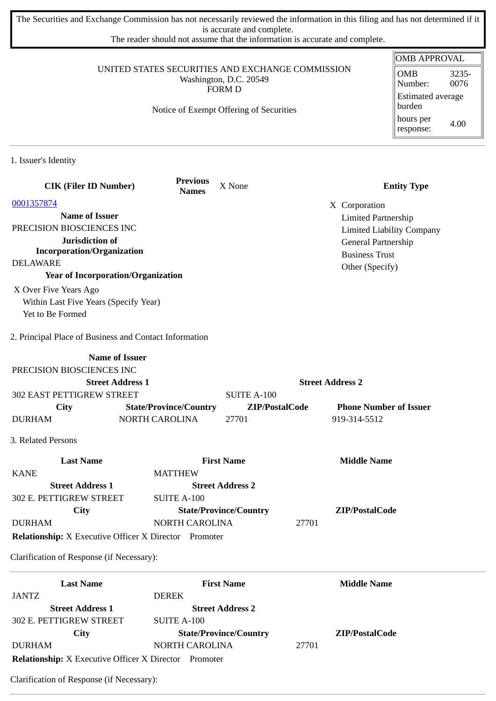The Securities and Exchange Commission has not necessarily reviewed the information in this filing and has not determined if it is accurate and complete.

The reader should not assume that the information is accurate and complete.

|                                                                                                                                        |                                 |                               |                         | <b>OMB APPROVAL</b>                |
|----------------------------------------------------------------------------------------------------------------------------------------|---------------------------------|-------------------------------|-------------------------|------------------------------------|
| UNITED STATES SECURITIES AND EXCHANGE COMMISSION<br>Washington, D.C. 20549<br><b>FORM D</b><br>Notice of Exempt Offering of Securities |                                 |                               |                         | <b>OMB</b><br>3235-                |
|                                                                                                                                        |                                 |                               |                         | 0076<br>Number:                    |
|                                                                                                                                        |                                 |                               |                         | <b>Estimated average</b><br>burden |
|                                                                                                                                        |                                 |                               |                         | hours per<br>4.00<br>response:     |
| 1. Issuer's Identity                                                                                                                   |                                 |                               |                         |                                    |
| <b>CIK (Filer ID Number)</b>                                                                                                           | <b>Previous</b><br><b>Names</b> | X None                        |                         | <b>Entity Type</b>                 |
| 0001357874                                                                                                                             |                                 |                               | X Corporation           |                                    |
| <b>Name of Issuer</b>                                                                                                                  |                                 |                               |                         | <b>Limited Partnership</b>         |
| PRECISION BIOSCIENCES INC                                                                                                              |                                 |                               |                         | <b>Limited Liability Company</b>   |
| Jurisdiction of                                                                                                                        |                                 |                               |                         | General Partnership                |
| <b>Incorporation/Organization</b>                                                                                                      |                                 |                               | <b>Business Trust</b>   |                                    |
| <b>DELAWARE</b>                                                                                                                        |                                 |                               | Other (Specify)         |                                    |
| <b>Year of Incorporation/Organization</b>                                                                                              |                                 |                               |                         |                                    |
| X Over Five Years Ago                                                                                                                  |                                 |                               |                         |                                    |
| Within Last Five Years (Specify Year)                                                                                                  |                                 |                               |                         |                                    |
| Yet to Be Formed                                                                                                                       |                                 |                               |                         |                                    |
| 2. Principal Place of Business and Contact Information                                                                                 |                                 |                               |                         |                                    |
| <b>Name of Issuer</b>                                                                                                                  |                                 |                               |                         |                                    |
| PRECISION BIOSCIENCES INC                                                                                                              |                                 |                               |                         |                                    |
| <b>Street Address 1</b>                                                                                                                |                                 |                               | <b>Street Address 2</b> |                                    |
| 302 EAST PETTIGREW STREET                                                                                                              |                                 | <b>SUITE A-100</b>            |                         |                                    |
| City                                                                                                                                   | <b>State/Province/Country</b>   | ZIP/PostalCode                |                         | <b>Phone Number of Issuer</b>      |
| <b>DURHAM</b>                                                                                                                          | NORTH CAROLINA                  | 27701                         | 919-314-5512            |                                    |
| 3. Related Persons                                                                                                                     |                                 |                               |                         |                                    |
| <b>Last Name</b>                                                                                                                       |                                 | <b>First Name</b>             | <b>Middle Name</b>      |                                    |
| <b>KANE</b>                                                                                                                            | <b>MATTHEW</b>                  |                               |                         |                                    |
| <b>Street Address 1</b>                                                                                                                |                                 | <b>Street Address 2</b>       |                         |                                    |
| 302 E. PETTIGREW STREET                                                                                                                | <b>SUITE A-100</b>              |                               |                         |                                    |
| <b>City</b>                                                                                                                            |                                 | <b>State/Province/Country</b> | ZIP/PostalCode          |                                    |
| <b>DURHAM</b>                                                                                                                          | NORTH CAROLINA                  |                               | 27701                   |                                    |
| <b>Relationship:</b> X Executive Officer X Director Promoter                                                                           |                                 |                               |                         |                                    |
| Clarification of Response (if Necessary):                                                                                              |                                 |                               |                         |                                    |
| <b>Last Name</b>                                                                                                                       |                                 | <b>First Name</b>             | <b>Middle Name</b>      |                                    |
| JANTZ                                                                                                                                  | <b>DEREK</b>                    |                               |                         |                                    |
| <b>Street Address 1</b>                                                                                                                |                                 | <b>Street Address 2</b>       |                         |                                    |
| 302 E. PETTIGREW STREET                                                                                                                | <b>SUITE A-100</b>              |                               |                         |                                    |
| <b>City</b>                                                                                                                            |                                 | <b>State/Province/Country</b> | ZIP/PostalCode          |                                    |

**Relationship:** X Executive Officer X Director Promoter

DURHAM NORTH CAROLINA 27701

Clarification of Response (if Necessary):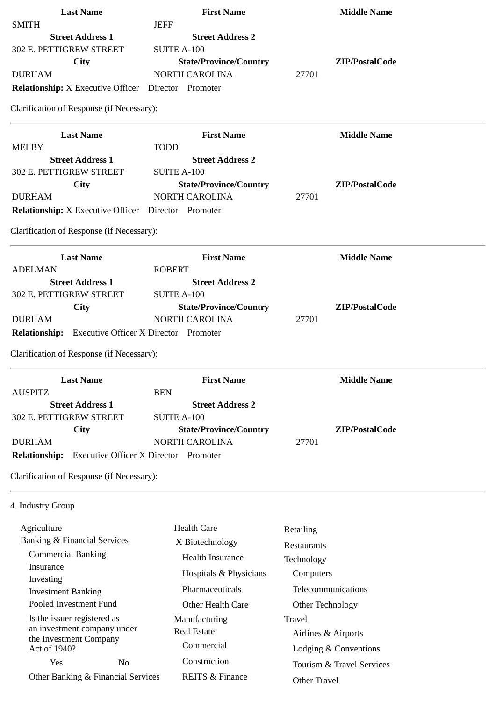| <b>Last Name</b>                                           | <b>First Name</b>                               | <b>Middle Name</b>        |  |
|------------------------------------------------------------|-------------------------------------------------|---------------------------|--|
| <b>SMITH</b>                                               | <b>JEFF</b>                                     |                           |  |
| <b>Street Address 1</b>                                    | <b>Street Address 2</b>                         |                           |  |
| 302 E. PETTIGREW STREET                                    | <b>SUITE A-100</b>                              |                           |  |
| <b>City</b>                                                | <b>State/Province/Country</b>                   | ZIP/PostalCode            |  |
| <b>DURHAM</b>                                              | <b>NORTH CAROLINA</b>                           | 27701                     |  |
| <b>Relationship:</b> X Executive Officer Director Promoter |                                                 |                           |  |
| Clarification of Response (if Necessary):                  |                                                 |                           |  |
| <b>Last Name</b>                                           | <b>First Name</b>                               | <b>Middle Name</b>        |  |
| <b>MELBY</b>                                               | <b>TODD</b>                                     |                           |  |
| <b>Street Address 1</b><br>302 E. PETTIGREW STREET         | <b>Street Address 2</b>                         |                           |  |
|                                                            | <b>SUITE A-100</b>                              | ZIP/PostalCode            |  |
| City<br><b>DURHAM</b>                                      | <b>State/Province/Country</b><br>NORTH CAROLINA | 27701                     |  |
| <b>Relationship:</b> X Executive Officer Director Promoter |                                                 |                           |  |
|                                                            |                                                 |                           |  |
| Clarification of Response (if Necessary):                  |                                                 |                           |  |
| <b>Last Name</b>                                           | <b>First Name</b>                               | <b>Middle Name</b>        |  |
| <b>ADELMAN</b>                                             | <b>ROBERT</b>                                   |                           |  |
| <b>Street Address 1</b>                                    | <b>Street Address 2</b>                         |                           |  |
| 302 E. PETTIGREW STREET                                    | <b>SUITE A-100</b>                              |                           |  |
| City                                                       | <b>State/Province/Country</b>                   | ZIP/PostalCode            |  |
| <b>DURHAM</b>                                              | <b>NORTH CAROLINA</b>                           | 27701                     |  |
| <b>Relationship:</b> Executive Officer X Director Promoter |                                                 |                           |  |
| Clarification of Response (if Necessary):                  |                                                 |                           |  |
| <b>Last Name</b>                                           | <b>First Name</b>                               | <b>Middle Name</b>        |  |
| <b>AUSPITZ</b>                                             | <b>BEN</b>                                      |                           |  |
| <b>Street Address 1</b>                                    | <b>Street Address 2</b>                         |                           |  |
| 302 E. PETTIGREW STREET                                    | <b>SUITE A-100</b>                              |                           |  |
| City                                                       | <b>State/Province/Country</b>                   | ZIP/PostalCode            |  |
| <b>DURHAM</b>                                              | NORTH CAROLINA                                  | 27701                     |  |
| <b>Relationship:</b>                                       | <b>Executive Officer X Director Promoter</b>    |                           |  |
| Clarification of Response (if Necessary):                  |                                                 |                           |  |
| 4. Industry Group                                          |                                                 |                           |  |
| Agriculture                                                | <b>Health Care</b>                              | Retailing                 |  |
| <b>Banking &amp; Financial Services</b>                    | X Biotechnology                                 |                           |  |
| <b>Commercial Banking</b>                                  | <b>Health Insurance</b>                         | Restaurants               |  |
| Insurance                                                  |                                                 | Technology                |  |
| Investing                                                  | Hospitals & Physicians                          | Computers                 |  |
| <b>Investment Banking</b>                                  | Pharmaceuticals                                 | Telecommunications        |  |
| Pooled Investment Fund                                     | Other Health Care                               | Other Technology          |  |
| Is the issuer registered as                                | Manufacturing                                   | <b>Travel</b>             |  |
| an investment company under                                | <b>Real Estate</b>                              | Airlines & Airports       |  |
| the Investment Company<br>Act of 1940?                     | Commercial                                      | Lodging & Conventions     |  |
| Yes<br>N <sub>0</sub>                                      | Construction                                    |                           |  |
|                                                            |                                                 | Tourism & Travel Services |  |
| Other Banking & Financial Services                         | <b>REITS &amp; Finance</b>                      | Other Travel              |  |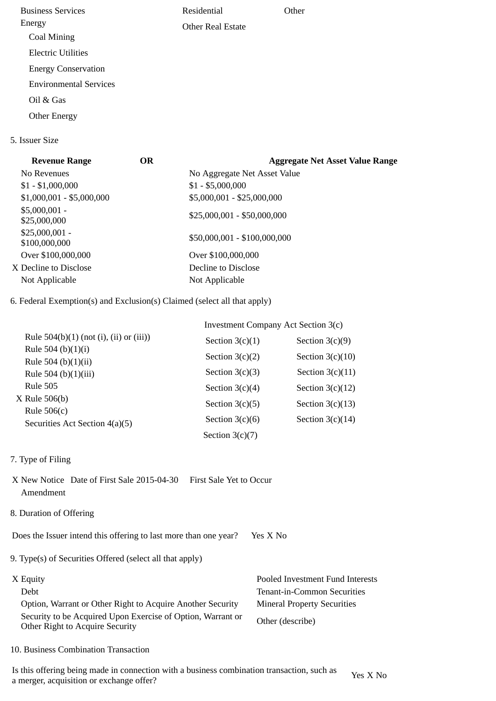Business Services Energy Coal Mining Electric Utilities Energy Conservation Environmental Services Oil & Gas Other Energy Residential Other Real Estate **Other** 

## 5. Issuer Size

| <b>Revenue Range</b>             | <b>OR</b> | <b>Aggregate Net Asset Value Range</b> |
|----------------------------------|-----------|----------------------------------------|
| No Revenues                      |           | No Aggregate Net Asset Value           |
| $$1 - $1,000,000$                |           | $$1 - $5,000,000$                      |
| $$1,000,001 - $5,000,000$        |           | \$5,000,001 - \$25,000,000             |
| $$5,000,001 -$<br>\$25,000,000   |           | \$25,000,001 - \$50,000,000            |
| $$25,000,001 -$<br>\$100,000,000 |           | \$50,000,001 - \$100,000,000           |
| Over \$100,000,000               |           | Over \$100,000,000                     |
| X Decline to Disclose            |           | Decline to Disclose                    |
| Not Applicable                   |           | Not Applicable                         |
|                                  |           |                                        |

6. Federal Exemption(s) and Exclusion(s) Claimed (select all that apply)

|                                                 | Investment Company Act Section 3(c) |                    |  |
|-------------------------------------------------|-------------------------------------|--------------------|--|
| Rule $504(b)(1)$ (not (i), (ii) or (iii))       | Section $3(c)(1)$                   | Section $3(c)(9)$  |  |
| Rule 504 (b) $(1)(i)$<br>Rule 504 (b) $(1)(ii)$ | Section $3(c)(2)$                   | Section $3(c)(10)$ |  |
| Rule 504 (b)(1)(iii)                            | Section $3(c)(3)$                   | Section $3(c)(11)$ |  |
| <b>Rule 505</b>                                 | Section $3(c)(4)$                   | Section $3(c)(12)$ |  |
| $X$ Rule 506(b)<br>Rule $506(c)$                | Section $3(c)(5)$                   | Section $3(c)(13)$ |  |
| Securities Act Section 4(a)(5)                  | Section $3(c)(6)$                   | Section $3(c)(14)$ |  |
|                                                 | Section $3(c)(7)$                   |                    |  |

- 7. Type of Filing
- X New Notice Date of First Sale 2015-04-30 First Sale Yet to Occur Amendment
- 8. Duration of Offering

Does the Issuer intend this offering to last more than one year? Yes X No

9. Type(s) of Securities Offered (select all that apply)

| X Equity                                                                                       | Pooled Investment Fund Interests   |
|------------------------------------------------------------------------------------------------|------------------------------------|
| Debt.                                                                                          | Tenant-in-Common Securities        |
| Option, Warrant or Other Right to Acquire Another Security                                     | <b>Mineral Property Securities</b> |
| Security to be Acquired Upon Exercise of Option, Warrant or<br>Other Right to Acquire Security | Other (describe)                   |

10. Business Combination Transaction

Is this offering being made in connection with a business combination transaction, such as is this oriening being made in connection with a business combination transaction, such as  $Y$ es X No a merger, acquisition or exchange offer?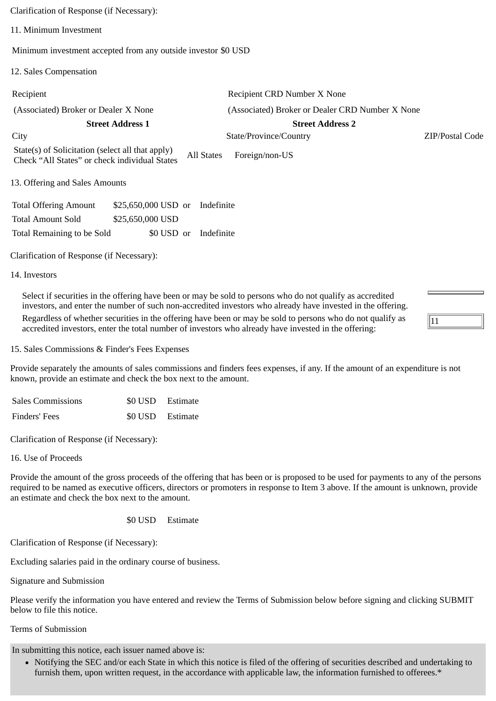Clarification of Response (if Necessary): 11. Minimum Investment Minimum investment accepted from any outside investor \$0 USD 12. Sales Compensation Recipient Recipient CRD Number X None (Associated) Broker or Dealer X None (Associated) Broker or Dealer CRD Number X None **Street Address 1 Street Address 2** City State/Province/Country ZIP/Postal Code

11

State(s) of Solicitation (select all that apply) Check "All States" or check individual States All States Foreign/non-US

13. Offering and Sales Amounts

| <b>Total Offering Amount</b> | \$25,650,000 USD or Indefinite |  |                       |
|------------------------------|--------------------------------|--|-----------------------|
| <b>Total Amount Sold</b>     | \$25,650,000 USD               |  |                       |
| Total Remaining to be Sold   |                                |  | \$0 USD or Indefinite |

Clarification of Response (if Necessary):

14. Investors

Select if securities in the offering have been or may be sold to persons who do not qualify as accredited investors, and enter the number of such non-accredited investors who already have invested in the offering. Regardless of whether securities in the offering have been or may be sold to persons who do not qualify as accredited investors, enter the total number of investors who already have invested in the offering:

15. Sales Commissions & Finder's Fees Expenses

Provide separately the amounts of sales commissions and finders fees expenses, if any. If the amount of an expenditure is not known, provide an estimate and check the box next to the amount.

| <b>Sales Commissions</b> | \$0 USD Estimate |
|--------------------------|------------------|
| Finders' Fees            | \$0 USD Estimate |

Clarification of Response (if Necessary):

16. Use of Proceeds

Provide the amount of the gross proceeds of the offering that has been or is proposed to be used for payments to any of the persons required to be named as executive officers, directors or promoters in response to Item 3 above. If the amount is unknown, provide an estimate and check the box next to the amount.

\$0 USD Estimate

Clarification of Response (if Necessary):

Excluding salaries paid in the ordinary course of business.

Signature and Submission

Please verify the information you have entered and review the Terms of Submission below before signing and clicking SUBMIT below to file this notice.

Terms of Submission

In submitting this notice, each issuer named above is:

Notifying the SEC and/or each State in which this notice is filed of the offering of securities described and undertaking to furnish them, upon written request, in the accordance with applicable law, the information furnished to offerees.\*